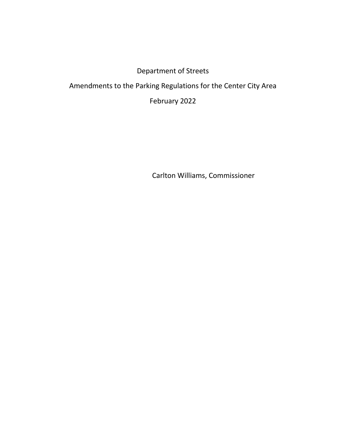## Department of Streets

## Amendments to the Parking Regulations for the Center City Area

February 2022

Carlton Williams, Commissioner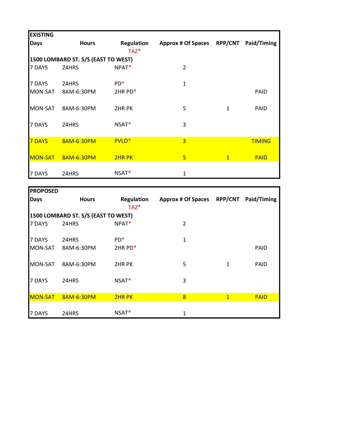| <b>EXISTING</b> |                                     |                              |                           |                |               |
|-----------------|-------------------------------------|------------------------------|---------------------------|----------------|---------------|
| <b>Days</b>     | <b>Hours</b>                        | <b>Regulation</b><br>$TAZ^*$ | <b>Approx # Of Spaces</b> | <b>RPP/CNT</b> | Paid/Timing   |
|                 | 1500 LOMBARD ST. S/S (EAST TO WEST) |                              |                           |                |               |
| 7 DAYS          | 24HRS                               | NPAT*                        | 2                         |                |               |
| 7 DAYS          | 24HRS                               | $PD*$                        | $\mathbf{1}$              |                |               |
| MON-SAT         | 8AM-6:30PM                          | 2HR PD*                      |                           |                | <b>PAID</b>   |
| MON-SAT         | 8AM-6:30PM                          | 2HR PK                       | 5                         | $\mathbf{1}$   | <b>PAID</b>   |
| 7 DAYS          | 24HRS                               | NSAT*                        | 3                         |                |               |
| 7 DAYS          | 8AM-6:30PM                          | PVLO <sup>*</sup>            | $\overline{3}$            |                | <b>TIMING</b> |
| <b>MON-SAT</b>  | 8AM-6:30PM                          | 2HR PK                       | $5\phantom{1}$            | $\mathbf{1}$   | <b>PAID</b>   |
| 7 DAYS          | 24HRS                               | $NSAT*$                      | 1                         |                |               |

| <b>PROPOSED</b> |                                     |                       |                            |              |             |  |  |  |
|-----------------|-------------------------------------|-----------------------|----------------------------|--------------|-------------|--|--|--|
| Days            | <b>Hours</b>                        | Regulation<br>$TAZ^*$ | Approx # Of Spaces RPP/CNT |              | Paid/Timing |  |  |  |
|                 | 1500 LOMBARD ST. S/S (EAST TO WEST) |                       |                            |              |             |  |  |  |
| l7 DAYS         | 24HRS                               | NPAT*                 | $\overline{2}$             |              |             |  |  |  |
| 7 DAYS          | 24HRS                               | $PD*$                 | 1                          |              |             |  |  |  |
| MON-SAT         | 8AM-6:30PM                          | 2HR PD*               |                            |              | <b>PAID</b> |  |  |  |
| IMON-SAT        | 8AM-6:30PM                          | 2HR PK                | 5                          | 1            | PAID        |  |  |  |
| 7 DAYS          | 24HRS                               | NSAT*                 | 3                          |              |             |  |  |  |
| <b>MON-SAT</b>  | 8AM-6:30PM                          | 2HR PK                | 8                          | $\mathbf{1}$ | <b>PAID</b> |  |  |  |
| 7 DAYS          | 24HRS                               | $NSAT*$               | $\mathbf{1}$               |              |             |  |  |  |